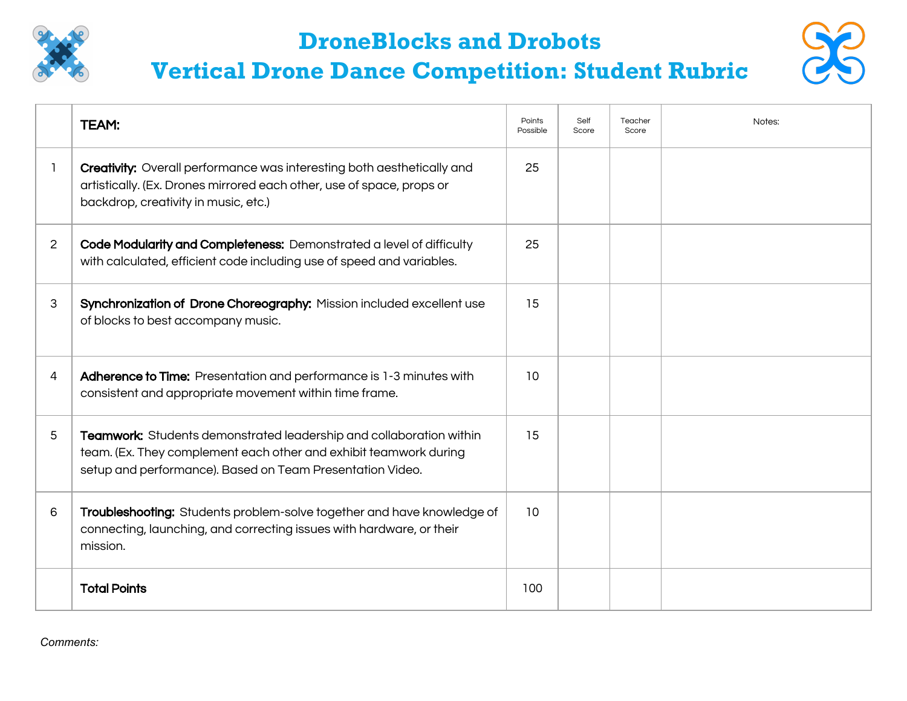

## **DroneBlocks and Drobots**



## **Vertical Drone Dance Competition: Student Rubric**

|                | TEAM:                                                                                                                                                                                                 | Points<br>Possible | Self<br>Score | Teacher<br>Score | Notes: |
|----------------|-------------------------------------------------------------------------------------------------------------------------------------------------------------------------------------------------------|--------------------|---------------|------------------|--------|
|                | <b>Creativity:</b> Overall performance was interesting both aesthetically and<br>artistically. (Ex. Drones mirrored each other, use of space, props or<br>backdrop, creativity in music, etc.)        | 25                 |               |                  |        |
| $\overline{2}$ | Code Modularity and Completeness: Demonstrated a level of difficulty<br>with calculated, efficient code including use of speed and variables.                                                         | 25                 |               |                  |        |
| 3              | Synchronization of Drone Choreography: Mission included excellent use<br>of blocks to best accompany music.                                                                                           | 15                 |               |                  |        |
| 4              | Adherence to Time: Presentation and performance is 1-3 minutes with<br>consistent and appropriate movement within time frame.                                                                         | 10                 |               |                  |        |
| 5              | Teamwork: Students demonstrated leadership and collaboration within<br>team. (Ex. They complement each other and exhibit teamwork during<br>setup and performance). Based on Team Presentation Video. | 15                 |               |                  |        |
| 6              | Troubleshooting: Students problem-solve together and have knowledge of<br>connecting, launching, and correcting issues with hardware, or their<br>mission.                                            | 10                 |               |                  |        |
|                | <b>Total Points</b>                                                                                                                                                                                   | 100                |               |                  |        |